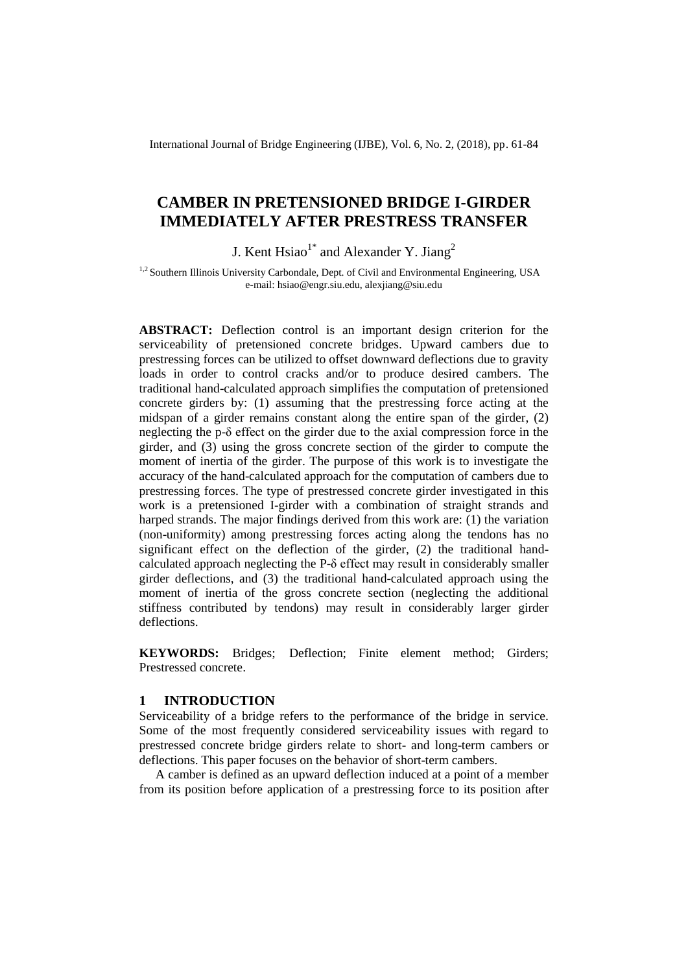International Journal of Bridge Engineering (IJBE), Vol. 6, No. 2, (2018), pp. 61-84

# **CAMBER IN PRETENSIONED BRIDGE I-GIRDER IMMEDIATELY AFTER PRESTRESS TRANSFER**

J. Kent  $\text{Hsiao}^{1*}$  and Alexander Y. Jiang<sup>2</sup>

<sup>1,2</sup> Southern Illinois University Carbondale, Dept. of Civil and Environmental Engineering, USA e-mail: hsiao@engr.siu.edu, alexjiang@siu.edu

**ABSTRACT:** Deflection control is an important design criterion for the serviceability of pretensioned concrete bridges. Upward cambers due to prestressing forces can be utilized to offset downward deflections due to gravity loads in order to control cracks and/or to produce desired cambers. The traditional hand-calculated approach simplifies the computation of pretensioned concrete girders by: (1) assuming that the prestressing force acting at the midspan of a girder remains constant along the entire span of the girder, (2) neglecting the p-δ effect on the girder due to the axial compression force in the girder, and (3) using the gross concrete section of the girder to compute the moment of inertia of the girder. The purpose of this work is to investigate the accuracy of the hand-calculated approach for the computation of cambers due to prestressing forces. The type of prestressed concrete girder investigated in this work is a pretensioned I-girder with a combination of straight strands and harped strands. The major findings derived from this work are: (1) the variation (non-uniformity) among prestressing forces acting along the tendons has no significant effect on the deflection of the girder, (2) the traditional handcalculated approach neglecting the P-δ effect may result in considerably smaller girder deflections, and (3) the traditional hand-calculated approach using the moment of inertia of the gross concrete section (neglecting the additional stiffness contributed by tendons) may result in considerably larger girder deflections.

**KEYWORDS:** Bridges; Deflection; Finite element method; Girders; Prestressed concrete.

## **1 INTRODUCTION**

Serviceability of a bridge refers to the performance of the bridge in service. Some of the most frequently considered serviceability issues with regard to prestressed concrete bridge girders relate to short- and long-term cambers or deflections. This paper focuses on the behavior of short-term cambers.

A camber is defined as an upward deflection induced at a point of a member from its position before application of a prestressing force to its position after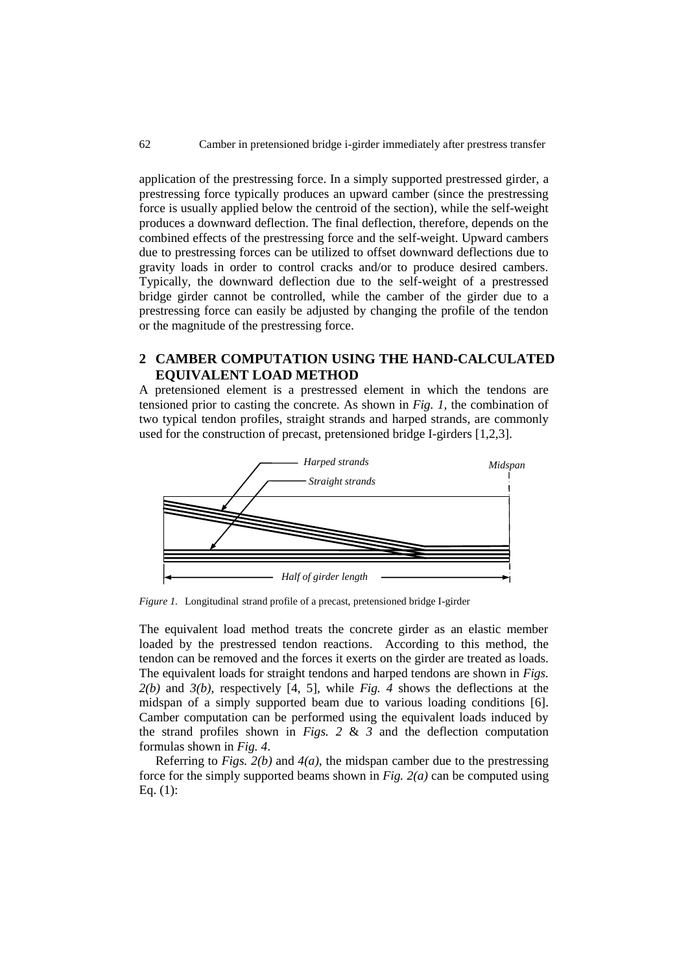application of the prestressing force. In a simply supported prestressed girder, a prestressing force typically produces an upward camber (since the prestressing force is usually applied below the centroid of the section), while the self-weight produces a downward deflection. The final deflection, therefore, depends on the combined effects of the prestressing force and the self-weight. Upward cambers due to prestressing forces can be utilized to offset downward deflections due to gravity loads in order to control cracks and/or to produce desired cambers. Typically, the downward deflection due to the self-weight of a prestressed bridge girder cannot be controlled, while the camber of the girder due to a prestressing force can easily be adjusted by changing the profile of the tendon or the magnitude of the prestressing force.

## **2 CAMBER COMPUTATION USING THE HAND-CALCULATED EQUIVALENT LOAD METHOD**

A pretensioned element is a prestressed element in which the tendons are tensioned prior to casting the concrete. As shown in *Fig. 1,* the combination of two typical tendon profiles, straight strands and harped strands, are commonly used for the construction of precast, pretensioned bridge I-girders [1,2,3].



*Figure 1.* Longitudinal strand profile of a precast, pretensioned bridge I-girder

The equivalent load method treats the concrete girder as an elastic member loaded by the prestressed tendon reactions. According to this method, the tendon can be removed and the forces it exerts on the girder are treated as loads. The equivalent loads for straight tendons and harped tendons are shown in *Figs. 2(b)* and *3(b),* respectively [4, 5], while *Fig. 4* shows the deflections at the midspan of a simply supported beam due to various loading conditions [6]. Camber computation can be performed using the equivalent loads induced by the strand profiles shown in *Figs.*  $2 \& 3$  and the deflection computation formulas shown in *Fig. 4*.

Referring to *Figs. 2(b)* and *4(a)*, the midspan camber due to the prestressing force for the simply supported beams shown in *Fig. 2(a)* can be computed using Eq. (1):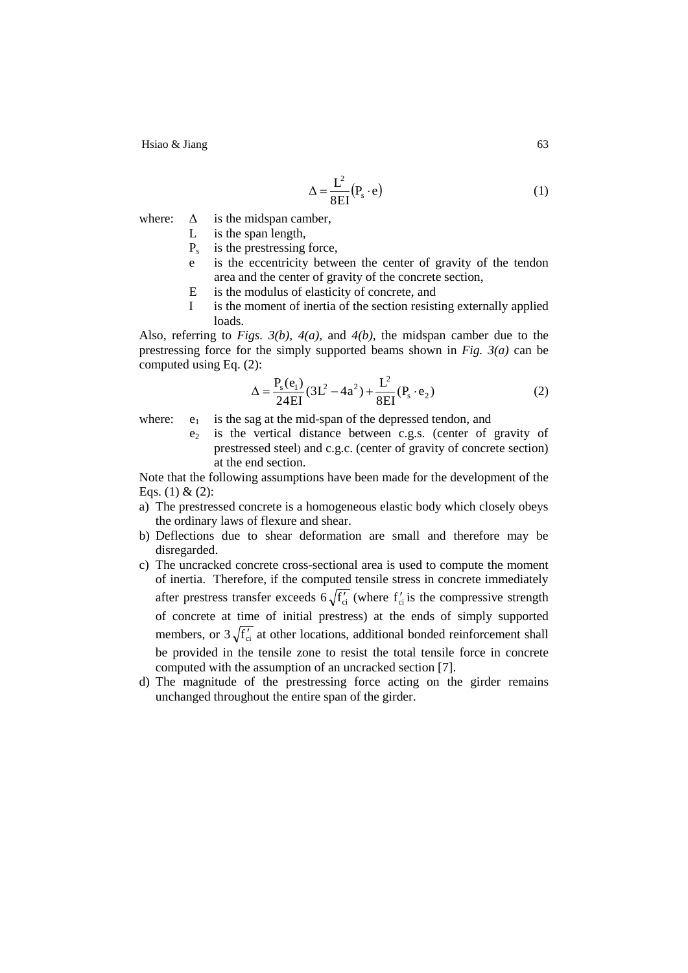$$
\Delta = \frac{L^2}{8EI} (P_s \cdot e) \tag{1}
$$

where:  $\Delta$  is the midspan camber,

- L is the span length,
- $P_s$  is the prestressing force,
- e is the eccentricity between the center of gravity of the tendon area and the center of gravity of the concrete section,
- E is the modulus of elasticity of concrete, and
- I is the moment of inertia of the section resisting externally applied loads.

Also, referring to *Figs. 3(b), 4(a),* and *4(b)*, the midspan camber due to the prestressing force for the simply supported beams shown in *Fig. 3(a)* can be computed using Eq. (2):

$$
\Delta = \frac{P_s(e_1)}{24EI} (3L^2 - 4a^2) + \frac{L^2}{8EI} (P_s \cdot e_2)
$$
 (2)

where:  $e_1$  is the sag at the mid-span of the depressed tendon, and

 $e_2$  is the vertical distance between c.g.s. (center of gravity of prestressed steel) and c.g.c. (center of gravity of concrete section) at the end section.

Note that the following assumptions have been made for the development of the Eqs. (1) & (2):

- a) The prestressed concrete is a homogeneous elastic body which closely obeys the ordinary laws of flexure and shear.
- b) Deflections due to shear deformation are small and therefore may be disregarded.
- c) The uncracked concrete cross-sectional area is used to compute the moment of inertia. Therefore, if the computed tensile stress in concrete immediately after prestress transfer exceeds  $6\sqrt{f'_{ci}}$  (where  $f'_{ci}$  is the compressive strength of concrete at time of initial prestress) at the ends of simply supported members, or  $3\sqrt{f'_\text{ci}}$  at other locations, additional bonded reinforcement shall be provided in the tensile zone to resist the total tensile force in concrete computed with the assumption of an uncracked section [7].
- d) The magnitude of the prestressing force acting on the girder remains unchanged throughout the entire span of the girder.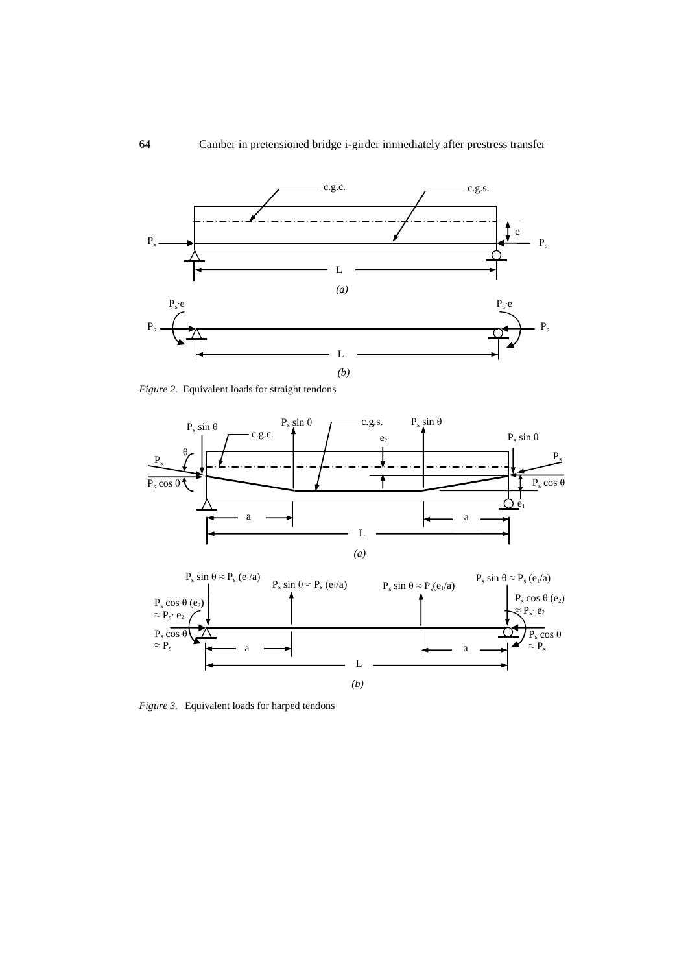

*Figure 2.* Equivalent loads for straight tendons



*Figure 3.* Equivalent loads for harped tendons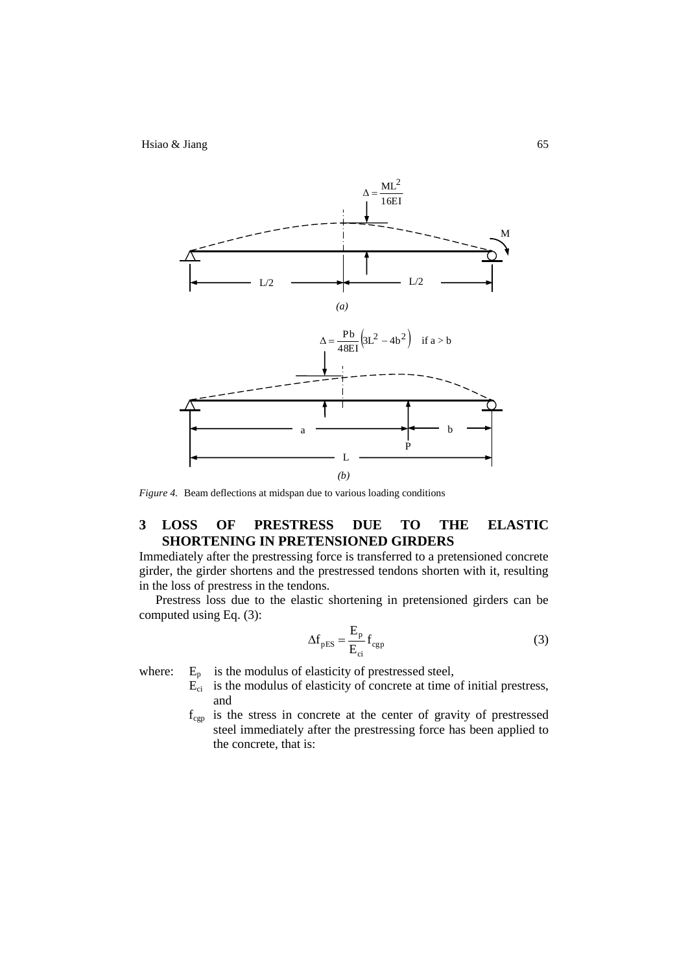

*Figure 4.* Beam deflections at midspan due to various loading conditions

## **3 LOSS OF PRESTRESS DUE TO THE ELASTIC SHORTENING IN PRETENSIONED GIRDERS**

Immediately after the prestressing force is transferred to a pretensioned concrete girder, the girder shortens and the prestressed tendons shorten with it, resulting in the loss of prestress in the tendons.

Prestress loss due to the elastic shortening in pretensioned girders can be computed using Eq. (3):

$$
\Delta f_{\text{pES}} = \frac{E_{\text{p}}}{E_{\text{ci}}} f_{\text{cgp}} \tag{3}
$$

where:  $E_p$  is the modulus of elasticity of prestressed steel,

- $\vec{E}_{ci}$  is the modulus of elasticity of concrete at time of initial prestress, and
- fcgp is the stress in concrete at the center of gravity of prestressed steel immediately after the prestressing force has been applied to the concrete, that is: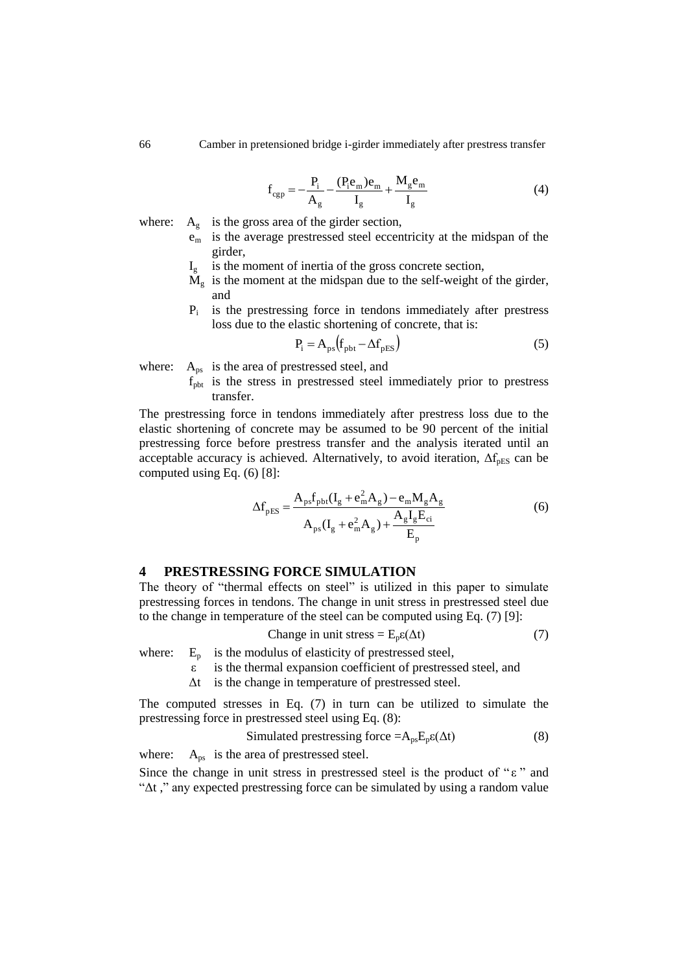$$
f_{\rm cgp} = -\frac{P_i}{A_g} - \frac{(P_i e_m) e_m}{I_g} + \frac{M_g e_m}{I_g} \tag{4}
$$

- where:  $A_{g}$  is the gross area of the girder section,  $e<sub>m</sub>$  is the average prestressed steel eccentricity at the midspan of the girder,
	- $I<sub>g</sub>$  is the moment of inertia of the gross concrete section,
	- $M_g$  is the moment at the midspan due to the self-weight of the girder, and
	- Pi is the prestressing force in tendons immediately after prestress loss due to the elastic shortening of concrete, that is:

$$
P_i = A_{ps}(f_{\text{pbt}} - \Delta f_{\text{pES}})
$$
 (5)

where:  $A_{\text{ps}}$  is the area of prestressed steel, and

 $f<sub>pht</sub>$  is the stress in prestressed steel immediately prior to prestress transfer.

The prestressing force in tendons immediately after prestress loss due to the elastic shortening of concrete may be assumed to be 90 percent of the initial prestressing force before prestress transfer and the analysis iterated until an acceptable accuracy is achieved. Alternatively, to avoid iteration,  $\Delta f_{pES}$  can be computed using Eq. (6) [8]:

$$
\Delta f_{\text{pES}} = \frac{A_{\text{ps}} f_{\text{pbt}} (I_{g} + e_{\text{m}}^{2} A_{g}) - e_{\text{m}} M_{g} A_{g}}{A_{\text{ps}} (I_{g} + e_{\text{m}}^{2} A_{g}) + \frac{A_{g} I_{g} E_{ci}}{E_{p}}}
$$
(6)

#### **4 PRESTRESSING FORCE SIMULATION**

The theory of "thermal effects on steel" is utilized in this paper to simulate prestressing forces in tendons. The change in unit stress in prestressed steel due to the change in temperature of the steel can be computed using Eq. (7) [9]:

Change in unit stress = 
$$
E_p \varepsilon(\Delta t)
$$
 (7)

where:  $E_p$  is the modulus of elasticity of prestressed steel,

- ε is the thermal expansion coefficient of prestressed steel, and
- Δt is the change in temperature of prestressed steel.

The computed stresses in Eq. (7) in turn can be utilized to simulate the prestressing force in prestressed steel using Eq. (8):

Simulated prestressing force = 
$$
A_{ps}E_p\epsilon(\Delta t)
$$
 (8)

where:  $A_{ps}$  is the area of prestressed steel.

Since the change in unit stress in prestressed steel is the product of " $\varepsilon$ " and "Δt ," any expected prestressing force can be simulated by using a random value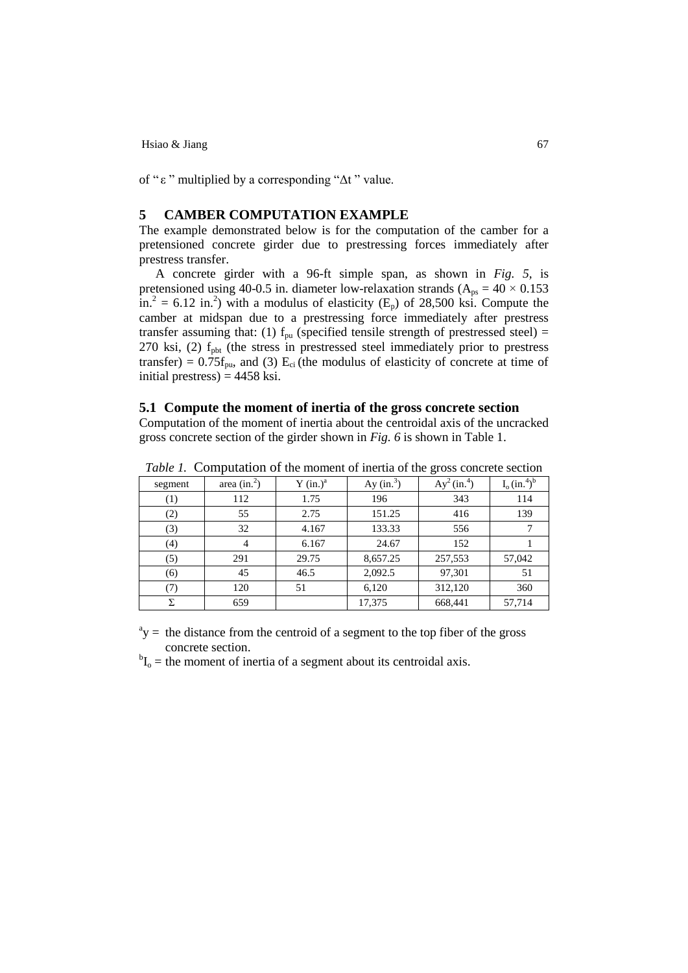of "ε" multiplied by a corresponding " $Δt$ " value.

## **5 CAMBER COMPUTATION EXAMPLE**

The example demonstrated below is for the computation of the camber for a pretensioned concrete girder due to prestressing forces immediately after prestress transfer.

A concrete girder with a 96-ft simple span, as shown in *Fig. 5,* is pretensioned using 40-0.5 in. diameter low-relaxation strands ( $A_{ps} = 40 \times 0.153$ )  $\sin^2$  = 6.12 in.<sup>2</sup>) with a modulus of elasticity (E<sub>p</sub>) of 28,500 ksi. Compute the camber at midspan due to a prestressing force immediately after prestress transfer assuming that: (1)  $f_{pu}$  (specified tensile strength of prestressed steel) = 270 ksi, (2)  $f<sub>pbt</sub>$  (the stress in prestressed steel immediately prior to prestress transfer) =  $0.75f_{\text{pu}}$ , and (3) E<sub>ci</sub> (the modulus of elasticity of concrete at time of initial prestress)  $=$  4458 ksi.

#### **5.1 Compute the moment of inertia of the gross concrete section**

Computation of the moment of inertia about the centroidal axis of the uncracked gross concrete section of the girder shown in *Fig. 6* is shown in Table 1.

| segment          | area $(in.^2)$ | $Y$ (in.) <sup>a</sup> | Ay $(in.^3)$ | $Ay^2$ (in. <sup>4</sup> ) | $I_0$ (in. <sup>4</sup> ) <sup>b</sup> |
|------------------|----------------|------------------------|--------------|----------------------------|----------------------------------------|
| $\left(1\right)$ | 112            | 1.75                   | 196          | 343                        | 114                                    |
| (2)              | 55             | 2.75                   | 151.25       | 416                        | 139                                    |
| (3)              | 32             | 4.167                  | 133.33       | 556                        |                                        |
| (4)              | 4              | 6.167                  | 24.67        | 152                        |                                        |
| (5)              | 291            | 29.75                  | 8,657.25     | 257,553                    | 57,042                                 |
| (6)              | 45             | 46.5                   | 2,092.5      | 97,301                     | 51                                     |
| (7)              | 120            | 51                     | 6,120        | 312,120                    | 360                                    |
| Σ                | 659            |                        | 17,375       | 668,441                    | 57,714                                 |

*Table 1.* Computation of the moment of inertia of the gross concrete section

 $a<sup>a</sup>y$  = the distance from the centroid of a segment to the top fiber of the gross concrete section.

 ${}^{b}I_{o}$  = the moment of inertia of a segment about its centroidal axis.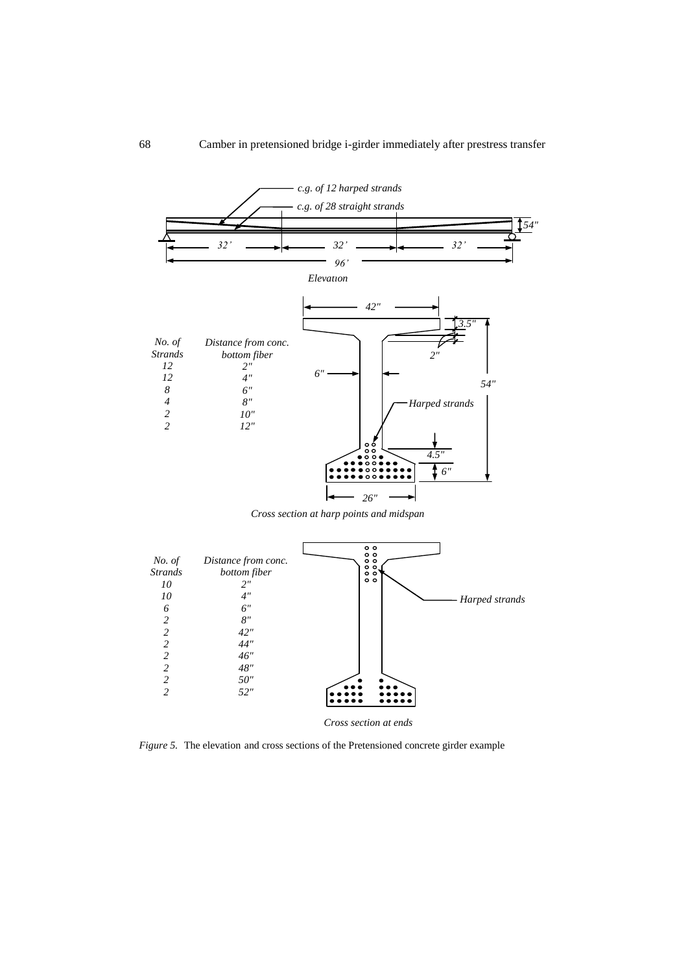

*Cross section at harp points and midspan*



*Figure 5.* The elevation and cross sections of the Pretensioned concrete girder example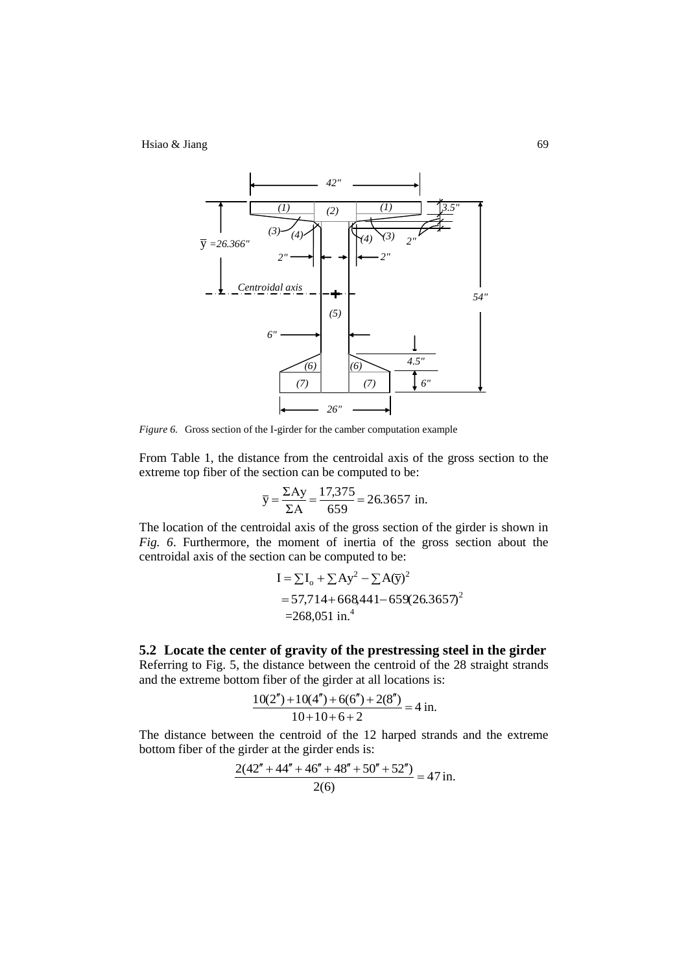

*Figure 6.* Gross section of the I-girder for the camber computation example

From Table 1, the distance from the centroidal axis of the gross section to the extreme top fiber of the section can be computed to be:

$$
\overline{y} = \frac{\Sigma Ay}{\Sigma A} = \frac{17,375}{659} = 26.3657
$$
 in.

The location of the centroidal axis of the gross section of the girder is shown in *Fig. 6*. Furthermore, the moment of inertia of the gross section about the centroidal axis of the section can be computed to be:

$$
I = \sum I_o + \sum Ay^2 - \sum A(\bar{y})^2
$$
  
= 57,714+668,441-659(26.3657)<sup>2</sup>  
= 268,051 in.<sup>4</sup>

**5.2 Locate the center of gravity of the prestressing steel in the girder**  Referring to Fig. 5, the distance between the centroid of the 28 straight strands and the extreme bottom fiber of the girder at all locations is:

$$
\frac{10(2'') + 10(4'') + 6(6'') + 2(8'')}{10 + 10 + 6 + 2} = 4 \text{ in.}
$$

The distance between the centroid of the 12 harped strands and the extreme bottom fiber of the girder at the girder ends is:

$$
\frac{2(42'' + 44'' + 46'' + 48'' + 50'' + 52'')}{2(6)} = 47 \text{ in.}
$$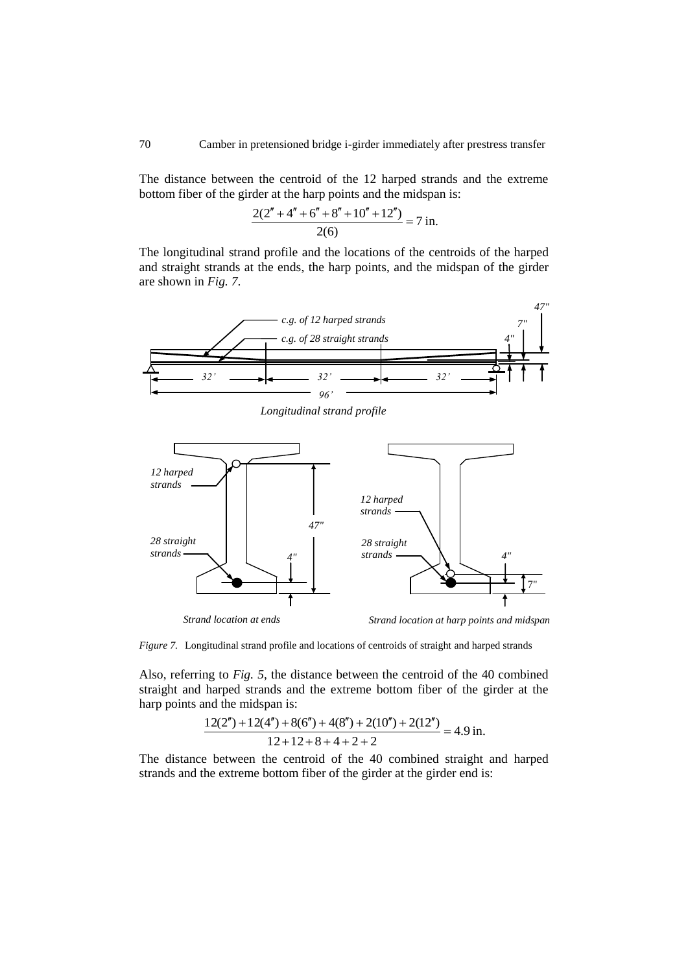The distance between the centroid of the 12 harped strands and the extreme bottom fiber of the girder at the harp points and the midspan is:

$$
\frac{2(2'' + 4'' + 6'' + 8'' + 10'' + 12'')}{2(6)} = 7 \text{ in.}
$$

The longitudinal strand profile and the locations of the centroids of the harped and straight strands at the ends, the harp points, and the midspan of the girder are shown in *Fig. 7*.



*Longitudinal strand profile*



*Figure 7.* Longitudinal strand profile and locations of centroids of straight and harped strands

Also, referring to *Fig. 5*, the distance between the centroid of the 40 combined straight and harped strands and the extreme bottom fiber of the girder at the harp points and the midspan is:

$$
\frac{12(2'') + 12(4'') + 8(6'') + 4(8'') + 2(10'') + 2(12'')}{12 + 12 + 8 + 4 + 2 + 2} = 4.9 \text{ in.}
$$

The distance between the centroid of the 40 combined straight and harped strands and the extreme bottom fiber of the girder at the girder end is: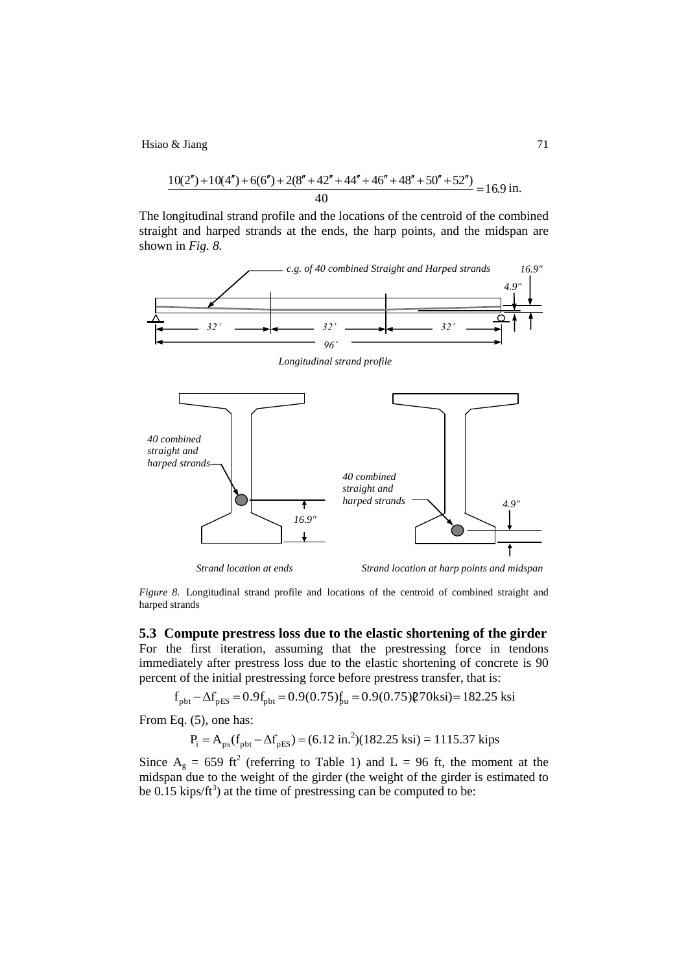$$
\text{X Jiang}
$$
\n
$$
\frac{10(2'') + 10(4'') + 6(6'') + 2(8'' + 42'' + 44'' + 46'' + 48'' + 50'' + 52'')}{40} = 16.9 \text{ in.}
$$

The longitudinal strand profile and the locations of the centroid of the combined straight and harped strands at the ends, the harp points, and the midspan are shown in *Fig. 8.*



*Figure 8.* Longitudinal strand profile and locations of the centroid of combined straight and harped strands

**5.3 Compute prestress loss due to the elastic shortening of the girder** For the first iteration, assuming that the prestressing force in tendons immediately after prestress loss due to the elastic shortening of concrete is 90

percent of the initial prestressing force before prestress transfer, that is:  
\n
$$
f_{\text{pbt}} - \Delta f_{\text{pES}} = 0.9f_{\text{pbt}} = 0.9(0.75)f_{\text{u}} = 0.9(0.75)\mathcal{Q}70\text{ksi} = 182.25 \text{ksi}
$$

From Eq. (5), one has:

$$
P_i = A_{ps}(f_{pbt} - \Delta f_{pES}) = (6.12 \text{ in.}^2)(182.25 \text{ ksi}) = 1115.37 \text{ kips}
$$

Since  $A_g = 659$  ft<sup>2</sup> (referring to Table 1) and L = 96 ft, the moment at the midspan due to the weight of the girder (the weight of the girder is estimated to be 0.15 kips/ft<sup>3</sup>) at the time of prestressing can be computed to be: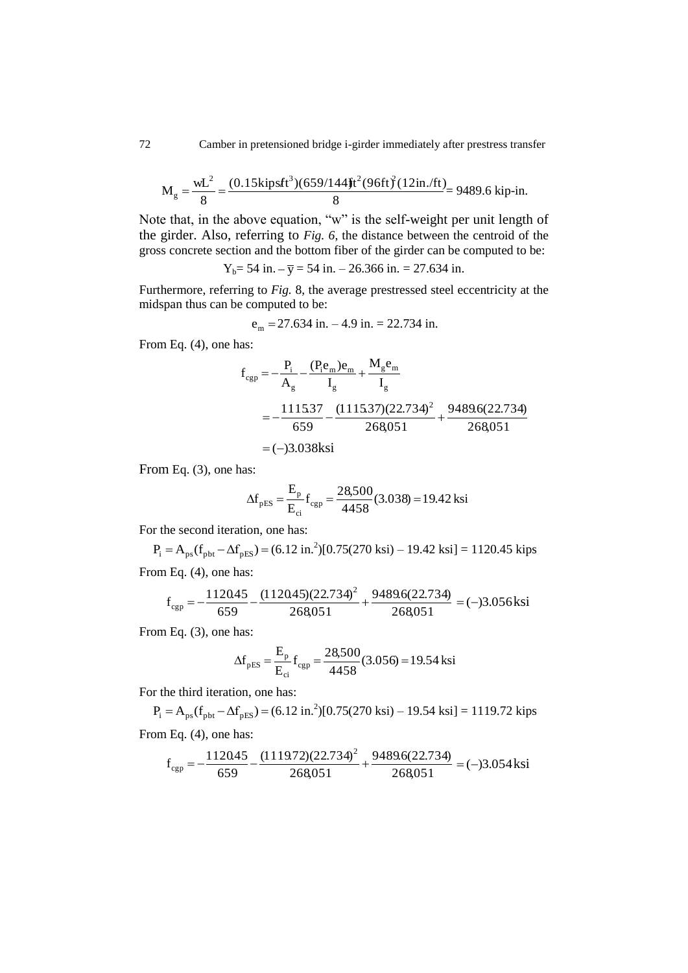$$
M_g = \frac{wL^2}{8} = \frac{(0.15 \text{ kipsft}^3)(659/144 \text{ ft}^2)(96 \text{ ft})^2(12 \text{ in.}/\text{ft})}{8} = 9489.6 \text{ kip-in.}
$$

Note that, in the above equation, "w" is the self-weight per unit length of the girder. Also, referring to *Fig. 6*, the distance between the centroid of the gross concrete section and the bottom fiber of the girder can be computed to be:

 $Y_b = 54$  in.  $-\bar{y} = 54$  in.  $- 26.366$  in.  $= 27.634$  in.

Furthermore, referring to *Fig.* 8, the average prestressed steel eccentricity at the midspan thus can be computed to be:

$$
e_m = 27.634
$$
 in.  $-4.9$  in.  $= 22.734$  in.

From Eq. (4), one has:

$$
f_{cgp} = -\frac{P_i}{A_g} - \frac{(P_i e_m)e_m}{I_g} + \frac{M_g e_m}{I_g}
$$
  
=  $-\frac{1115.37}{659} - \frac{(1115.37)(22.734)^2}{268.051} + \frac{9489.6(22.734)}{268.051}$   
= (-)3.038ksi

From Eq. (3), one has:

$$
\Delta f_{\text{pES}} = \frac{E_{\text{p}}}{E_{\text{ci}}} f_{\text{cgp}} = \frac{28,500}{4458} (3.038) = 19.42 \text{ ksi}
$$

For the second iteration, one has:

 $P_i = A_{ps}(f_{pbt} - \Delta f_{pES}) = (6.12 \text{ in.}^2)[0.75(270 \text{ ks}) - 19.42 \text{ ks}] = 1120.45 \text{ kips}$ 

From Eq. (4), one has:  
\n
$$
f_{cgp} = -\frac{112045}{659} - \frac{(112045)(22.734)^2}{268051} + \frac{9489.6(22.734)}{268051} = (-)3.056
$$
ksi

From Eq. (3), one has:

$$
\Delta f_{\text{pES}} = \frac{E_{\text{p}}}{E_{\text{ci}}} f_{\text{cgp}} = \frac{28,500}{4458} (3.056) = 19.54 \text{ ksi}
$$

For the third iteration, one has:

$$
P_i = A_{ps}(f_{\text{pbt}} - \Delta f_{\text{pES}}) = (6.12 \text{ in.}^2)[0.75(270 \text{ ks}) - 19.54 \text{ ks}] = 1119.72 \text{ kips}
$$
  
from Eq. (4), one has:

From Eq. 
$$
(4)
$$
, one has:

Eq. (4), one has:  
\n
$$
f_{cgp} = -\frac{112045}{659} - \frac{(111972)(22.734)^2}{268051} + \frac{94896(22.734)}{268051} = (-)3.054
$$
ksi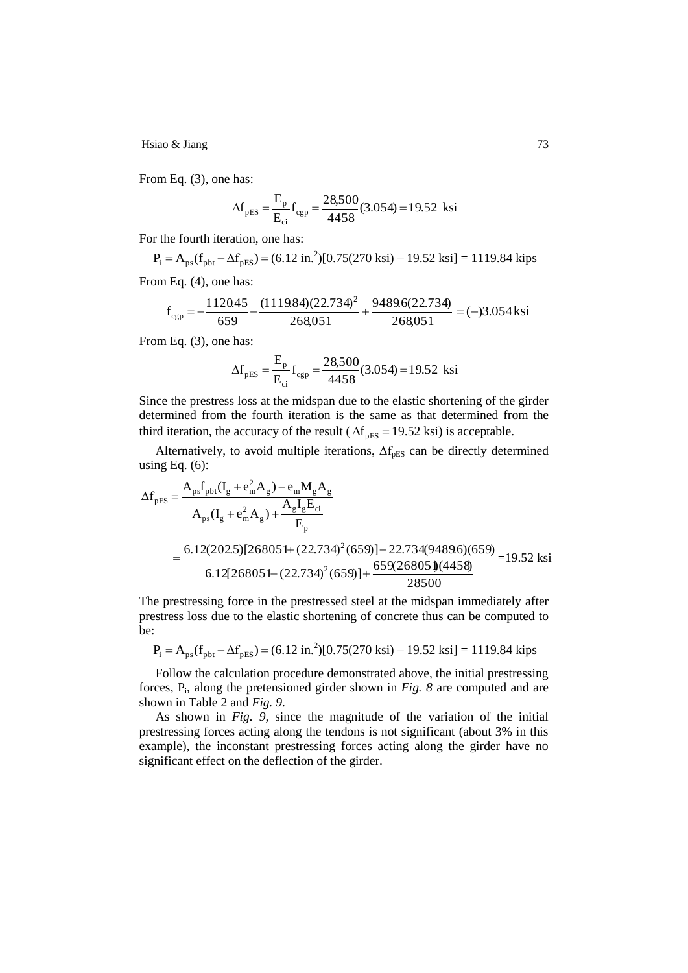From Eq. (3), one has:

$$
\Delta f_{\rm pES} = \frac{E_{\rm p}}{E_{\rm ci}} f_{\rm cgp} = \frac{28,500}{4458} (3.054) = 19.52 \text{ ksi}
$$

For the fourth iteration, one has:

 $P_i = A_{ps}(f_{pbt} - \Delta f_{pES}) = (6.12 \text{ in.}^2)[0.75(270 \text{ ks}) - 19.52 \text{ ks}] = 1119.84 \text{ kips}$ 

From Eq. (4), one has:  
\n
$$
f_{cgp} = -\frac{112045}{659} - \frac{(111984)(22.734)^2}{268051} + \frac{9489.6(22.734)}{268051} = (-)3.054
$$
ksi

From Eq. (3), one has:

$$
\Delta f_{\text{pES}} = \frac{E_{\text{p}}}{E_{\text{ci}}} f_{\text{cgp}} = \frac{28,500}{4458} (3.054) = 19.52 \text{ ksi}
$$

Since the prestress loss at the midspan due to the elastic shortening of the girder determined from the fourth iteration is the same as that determined from the third iteration, the accuracy of the result ( $\Delta f_{\text{pES}} = 19.52$  ksi) is acceptable.

Alternatively, to avoid multiple iterations,  $\Delta f_{\text{pES}}$  can be directly determined using Eq.  $(6)$ :

$$
\Delta f_{\text{pES}} = \frac{A_{\text{ps}}f_{\text{pbt}}(I_{g} + e_{\text{m}}^{2}A_{g}) - e_{\text{m}}M_{g}A_{g}}{A_{\text{ps}}(I_{g} + e_{\text{m}}^{2}A_{g}) + \frac{A_{g}I_{g}E_{ci}}{E_{p}}}
$$
  
= 
$$
\frac{6.12(202.5)[268051 + (22.734)^{2}(659)] - 22.734(9489.6)(659)}{6.12[268051 + (22.734)^{2}(659)] + \frac{659(268051)(4458)}{28500}} = 19.52 \text{ ksi}
$$

The prestressing force in the prestressed steel at the midspan immediately after prestress loss due to the elastic shortening of concrete thus can be computed to be:

$$
P_i = A_{ps}(f_{\text{pbt}} - \Delta f_{\text{pES}}) = (6.12 \text{ in.}^2)[0.75(270 \text{ ksi}) - 19.52 \text{ ksi}] = 1119.84 \text{ kips}
$$

Follow the calculation procedure demonstrated above, the initial prestressing forces, P<sup>i</sup> , along the pretensioned girder shown in *Fig. 8* are computed and are shown in Table 2 and *Fig. 9*.

As shown in *Fig. 9,* since the magnitude of the variation of the initial prestressing forces acting along the tendons is not significant (about 3% in this example), the inconstant prestressing forces acting along the girder have no significant effect on the deflection of the girder.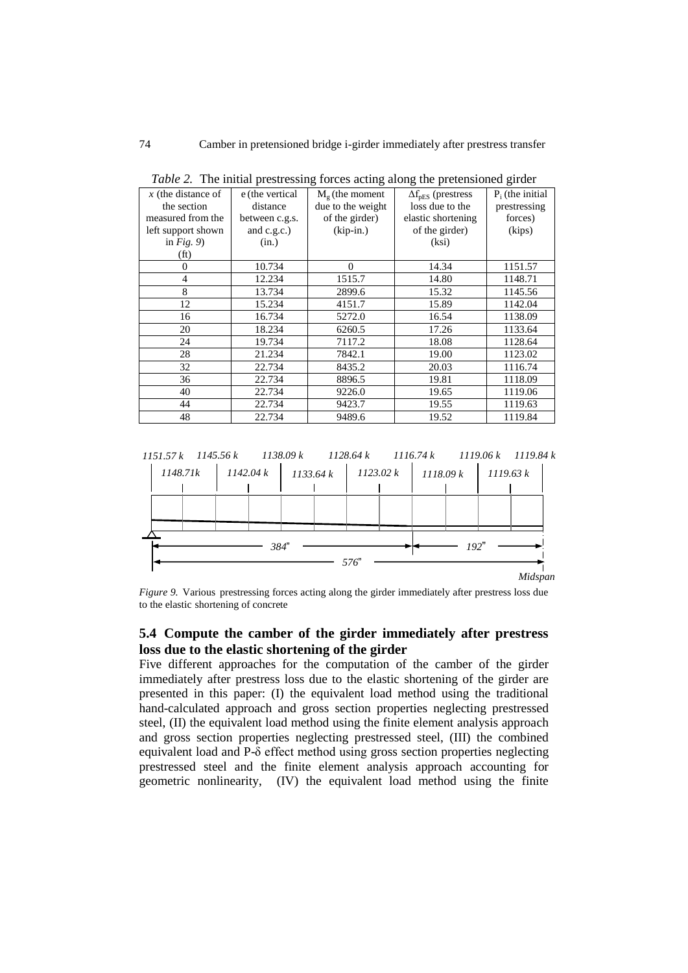| $x$ (the distance of | e (the vertical | $M_g$ (the moment | $\Delta f_{\text{pES}}$ (prestress | $P_i$ (the initial |
|----------------------|-----------------|-------------------|------------------------------------|--------------------|
| the section          | distance        | due to the weight | loss due to the                    | prestressing       |
| measured from the    | between c.g.s.  | of the girder)    | elastic shortening                 | forces)            |
| left support shown   | and c.g.c.)     | $(kip-in.)$       | of the girder)                     | (kips)             |
| in $Fig. 9$          | (in.)           |                   | (ksi)                              |                    |
| (f <sub>t</sub> )    |                 |                   |                                    |                    |
| $\mathbf{0}$         | 10.734          | $\Omega$          | 14.34                              | 1151.57            |
| $\overline{4}$       | 12.234          | 1515.7            | 14.80                              | 1148.71            |
| 8                    | 13.734          | 2899.6            | 15.32                              | 1145.56            |
| 12                   | 15.234          | 4151.7            | 15.89                              | 1142.04            |
| 16                   | 16.734          | 5272.0            | 16.54                              | 1138.09            |
| 20                   | 18.234          | 6260.5            | 17.26                              | 1133.64            |
| 24                   | 19.734          | 7117.2            | 18.08                              | 1128.64            |
| 28                   | 21.234          | 7842.1            | 19.00                              | 1123.02            |
| 32                   | 22.734          | 8435.2            | 20.03                              | 1116.74            |
| 36                   | 22.734          | 8896.5            | 19.81                              | 1118.09            |
| 40                   | 22.734          | 9226.0            | 19.65                              | 1119.06            |
| 44                   | 22.734          | 9423.7            | 19.55                              | 1119.63            |
| 48                   | 22.734          | 9489.6            | 19.52                              | 1119.84            |

*Table 2.* The initial prestressing forces acting along the pretensioned girder



*Figure 9.* Various prestressing forces acting along the girder immediately after prestress loss due to the elastic shortening of concrete

## **5.4 Compute the camber of the girder immediately after prestress loss due to the elastic shortening of the girder**

Five different approaches for the computation of the camber of the girder immediately after prestress loss due to the elastic shortening of the girder are presented in this paper: (I) the equivalent load method using the traditional hand-calculated approach and gross section properties neglecting prestressed steel, (II) the equivalent load method using the finite element analysis approach and gross section properties neglecting prestressed steel, (III) the combined equivalent load and P-δ effect method using gross section properties neglecting prestressed steel and the finite element analysis approach accounting for geometric nonlinearity, (IV) the equivalent load method using the finite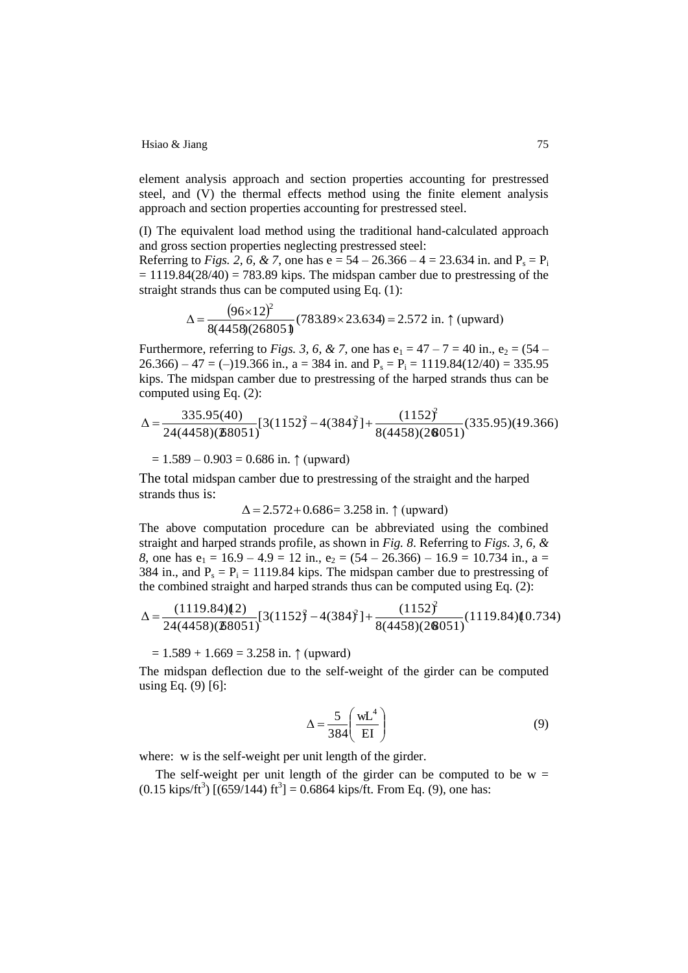element analysis approach and section properties accounting for prestressed steel, and (V) the thermal effects method using the finite element analysis approach and section properties accounting for prestressed steel.

(I) The equivalent load method using the traditional hand-calculated approach and gross section properties neglecting prestressed steel:

Referring to *Figs.* 2, 6, & 7, one has  $e = 54 - 26.366 - 4 = 23.634$  in. and  $P_s = P_i$  $= 1119.84(28/40) = 783.89$  kips. The midspan camber due to prestressing of the straight strands thus can be computed using Eq. (1):

$$
\Delta = \frac{(96 \times 12)^2}{8(4458)(26805 \text{ J})} (783.89 \times 23.634) = 2.572 \text{ in. } \uparrow \text{ (upward)}
$$

Furthermore, referring to *Figs.* 3, 6, & 7, one has  $e_1 = 47 - 7 = 40$  in.,  $e_2 = (54 26.366$ ) – 47 = (–)19.366 in., a = 384 in. and P<sub>s</sub> = P<sub>i</sub> = 1119.84(12/40) = 335.95 kips. The midspan camber due to prestressing of the harped strands thus can be computed using Eq. (2):

$$
\Delta = \frac{335.95(40)}{24(4458)(\mathbf{28051})} [3(1152)^2 - 4(384)^2] + \frac{(1152)^2}{8(4458)(2\mathbf{8051})} (335.95)(19.366)
$$

 $= 1.589 - 0.903 = 0.686$  in.  $\uparrow$  (upward)

The total midspan camber due to prestressing of the straight and the harped strands thus is:

 $\Delta = 2.572 + 0.686 = 3.258$  in.  $\uparrow$  (upward)

The above computation procedure can be abbreviated using the combined straight and harped strands profile, as shown in *Fig. 8*. Referring to *Figs. 3, 6, & 8*, one has  $e_1 = 16.9 - 4.9 = 12$  in.,  $e_2 = (54 - 26.366) - 16.9 = 10.734$  in., a = 384 in., and  $P_s = P_i = 1119.84$  kips. The midspan camber due to prestressing of the combined straight and harped strands thus can be computed using Eq. (2):

$$
\Delta = \frac{(1119.84)(2)}{24(4458)(28051)}[3(1152)^2 - 4(384)^2] + \frac{(1152)^2}{8(4458)(28051)}(1119.84)(0.734)
$$

 $= 1.589 + 1.669 = 3.258$  in.  $\uparrow$  (upward)

The midspan deflection due to the self-weight of the girder can be computed using Eq. (9) [6]:

$$
\Delta = \frac{5}{384} \left( \frac{\text{wL}^4}{\text{EI}} \right) \tag{9}
$$

where: w is the self-weight per unit length of the girder.

The self-weight per unit length of the girder can be computed to be  $w =$  $(0.15 \text{ kips/ft}^3)$   $[(659/144) \text{ ft}^3] = 0.6864 \text{ kips/ft}$ . From Eq. (9), one has: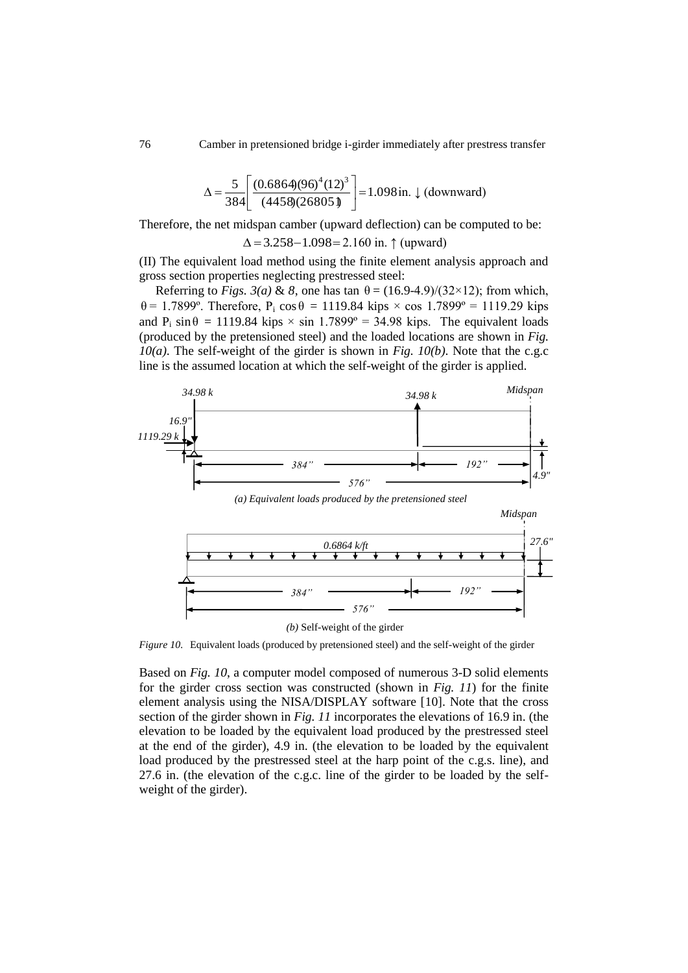$$
\Delta = \frac{5}{384} \left[ \frac{(0.6864)(96)^4 (12)^3}{(4458)(26805)} \right] = 1.098 \text{ in. } \downarrow \text{ (downward)}
$$

Therefore, the net midspan camber (upward deflection) can be computed to be:

 $\Delta = 3.258 - 1.098 = 2.160$  in.  $\uparrow$  (upward)

(II) The equivalent load method using the finite element analysis approach and gross section properties neglecting prestressed steel:

Referring to *Figs.*  $3(a)$  & 8, one has tan  $\theta = (16.9-4.9)/(32 \times 12)$ ; from which,  $θ = 1.7899°$ . Therefore, P<sub>i</sub> cos θ = 1119.84 kips × cos 1.7899° = 1119.29 kips and  $P_i \sin \theta = 1119.84$  kips  $\times \sin 1.7899^\circ = 34.98$  kips. The equivalent loads (produced by the pretensioned steel) and the loaded locations are shown in *Fig. 10(a)*. The self-weight of the girder is shown in *Fig. 10(b)*. Note that the c.g.c line is the assumed location at which the self-weight of the girder is applied.



*Figure 10.* Equivalent loads (produced by pretensioned steel) and the self-weight of the girder

Based on *Fig. 10*, a computer model composed of numerous 3-D solid elements for the girder cross section was constructed (shown in *Fig. 11*) for the finite element analysis using the NISA/DISPLAY software [10]. Note that the cross section of the girder shown in *Fig. 11* incorporates the elevations of 16.9 in. (the elevation to be loaded by the equivalent load produced by the prestressed steel at the end of the girder), 4.9 in. (the elevation to be loaded by the equivalent load produced by the prestressed steel at the harp point of the c.g.s. line), and 27.6 in. (the elevation of the c.g.c. line of the girder to be loaded by the selfweight of the girder).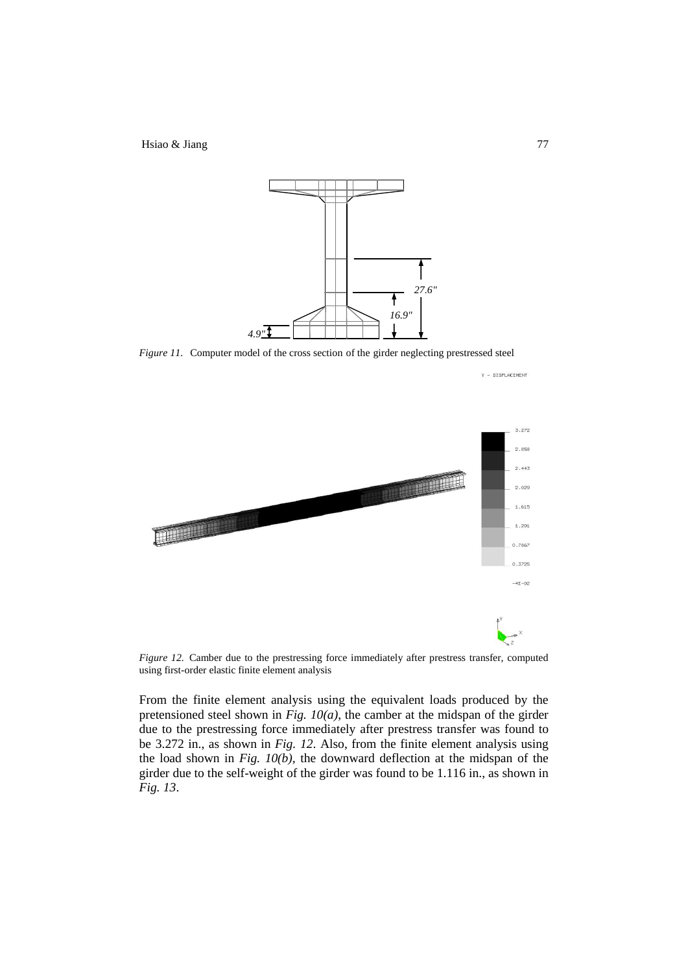

*Figure 11.* Computer model of the cross section of the girder neglecting prestressed steel



*Figure 12.* Camber due to the prestressing force immediately after prestress transfer, computed using first-order elastic finite element analysis

From the finite element analysis using the equivalent loads produced by the pretensioned steel shown in *Fig. 10(a)*, the camber at the midspan of the girder due to the prestressing force immediately after prestress transfer was found to be 3.272 in., as shown in *Fig. 12*. Also, from the finite element analysis using the load shown in *Fig. 10(b),* the downward deflection at the midspan of the girder due to the self-weight of the girder was found to be 1.116 in., as shown in *Fig. 13*.

Y - DISPLACEMENT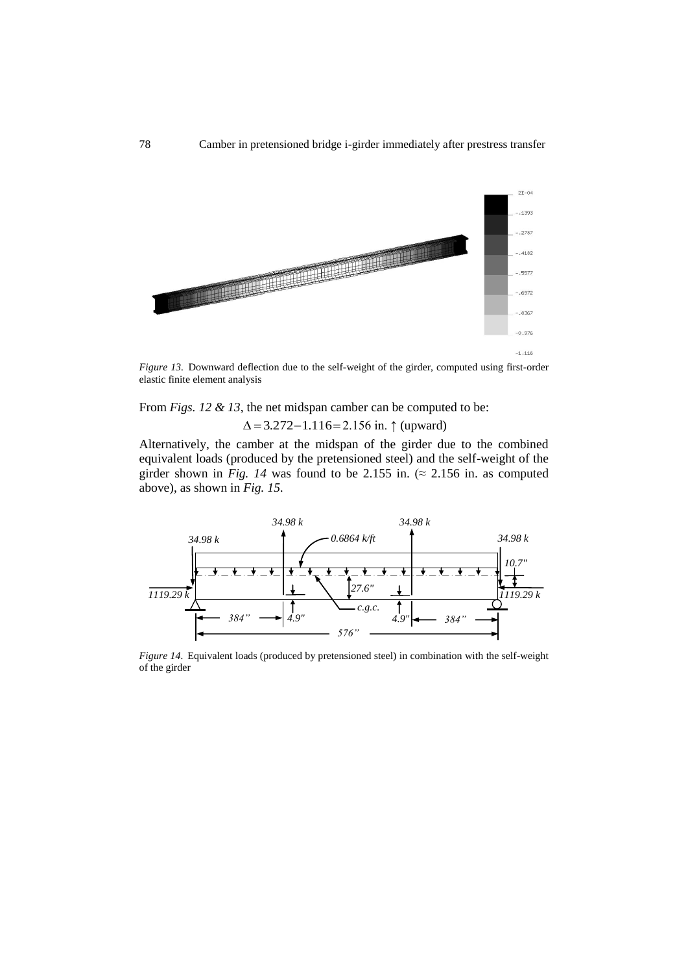

*Figure 13.* Downward deflection due to the self-weight of the girder, computed using first-order elastic finite element analysis

From *Figs. 12 & 13*, the net midspan camber can be computed to be:

 $\Delta = 3.272 - 1.116 = 2.156$  in.  $\uparrow$  (upward)

Alternatively, the camber at the midspan of the girder due to the combined equivalent loads (produced by the pretensioned steel) and the self-weight of the girder shown in *Fig. 14* was found to be 2.155 in. ( $\approx$  2.156 in. as computed above), as shown in *Fig. 15*.



*Figure 14.* Equivalent loads (produced by pretensioned steel) in combination with the self-weight of the girder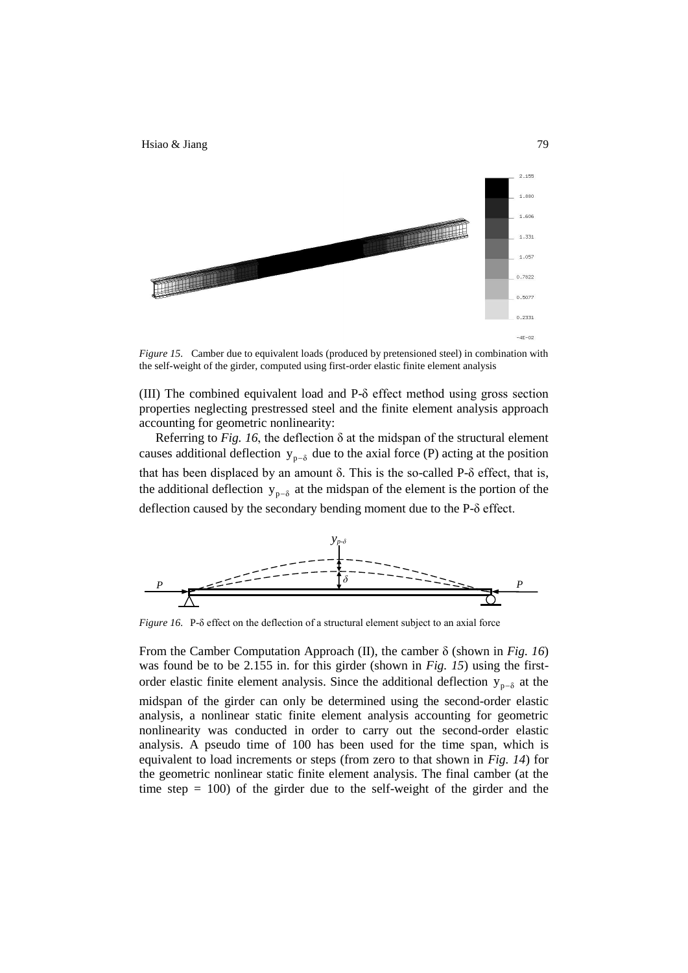

*Figure 15.* Camber due to equivalent loads (produced by pretensioned steel) in combination with the self-weight of the girder, computed using first-order elastic finite element analysis

(III) The combined equivalent load and P-δ effect method using gross section properties neglecting prestressed steel and the finite element analysis approach accounting for geometric nonlinearity:

Referring to *Fig. 16*, the deflection δ at the midspan of the structural element causes additional deflection  $y_{p-\delta}$  due to the axial force (P) acting at the position that has been displaced by an amount δ. This is the so-called P-δ effect, that is, the additional deflection  $y_{p-\delta}$  at the midspan of the element is the portion of the deflection caused by the secondary bending moment due to the P-δ effect.



*Figure 16.* P-δ effect on the deflection of a structural element subject to an axial force

From the Camber Computation Approach (II), the camber δ (shown in *Fig. 16*) was found be to be 2.155 in. for this girder (shown in *Fig. 15*) using the firstorder elastic finite element analysis. Since the additional deflection  $y_{p-\delta}$  at the midspan of the girder can only be determined using the second-order elastic analysis, a nonlinear static finite element analysis accounting for geometric nonlinearity was conducted in order to carry out the second-order elastic analysis. A pseudo time of 100 has been used for the time span, which is equivalent to load increments or steps (from zero to that shown in *Fig. 14*) for the geometric nonlinear static finite element analysis. The final camber (at the time step  $= 100$ ) of the girder due to the self-weight of the girder and the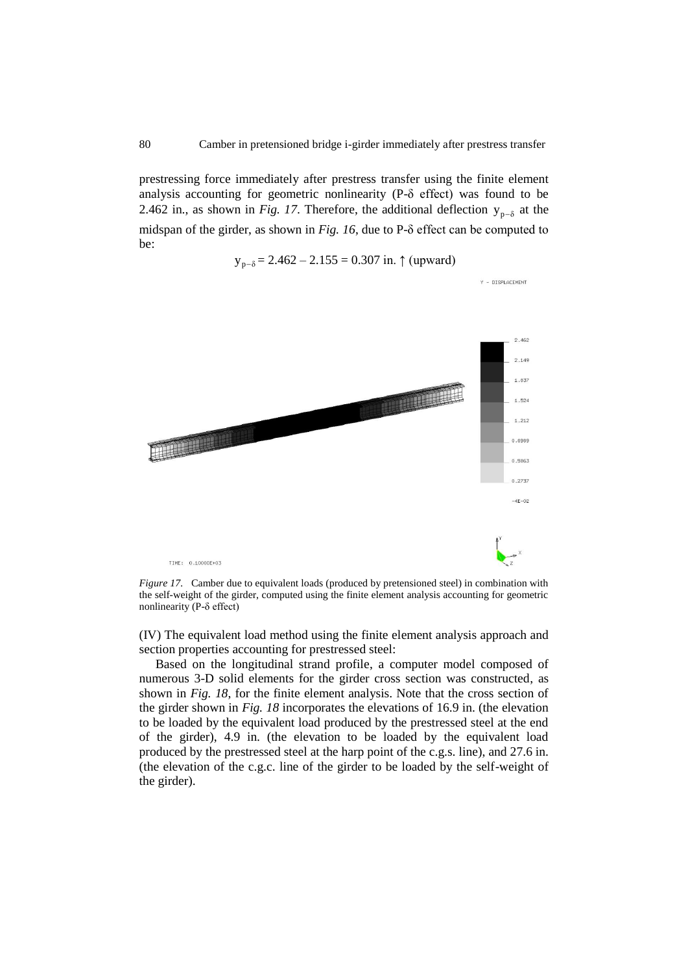Y - DISPLACEMENT

prestressing force immediately after prestress transfer using the finite element analysis accounting for geometric nonlinearity (P-δ effect) was found to be 2.462 in., as shown in *Fig. 17*. Therefore, the additional deflection  $y_{p-\delta}$  at the midspan of the girder, as shown in *Fig. 16*, due to P-δ effect can be computed to be:

$$
y_{p-\delta} = 2.462 - 2.155 = 0.307
$$
 in.  $\uparrow$  (upward)



*Figure 17.* Camber due to equivalent loads (produced by pretensioned steel) in combination with the self-weight of the girder, computed using the finite element analysis accounting for geometric nonlinearity (P-δ effect)

(IV) The equivalent load method using the finite element analysis approach and section properties accounting for prestressed steel:

Based on the longitudinal strand profile, a computer model composed of numerous 3-D solid elements for the girder cross section was constructed, as shown in *Fig. 18*, for the finite element analysis. Note that the cross section of the girder shown in *Fig. 18* incorporates the elevations of 16.9 in. (the elevation to be loaded by the equivalent load produced by the prestressed steel at the end of the girder), 4.9 in. (the elevation to be loaded by the equivalent load produced by the prestressed steel at the harp point of the c.g.s. line), and 27.6 in. (the elevation of the c.g.c. line of the girder to be loaded by the self-weight of the girder).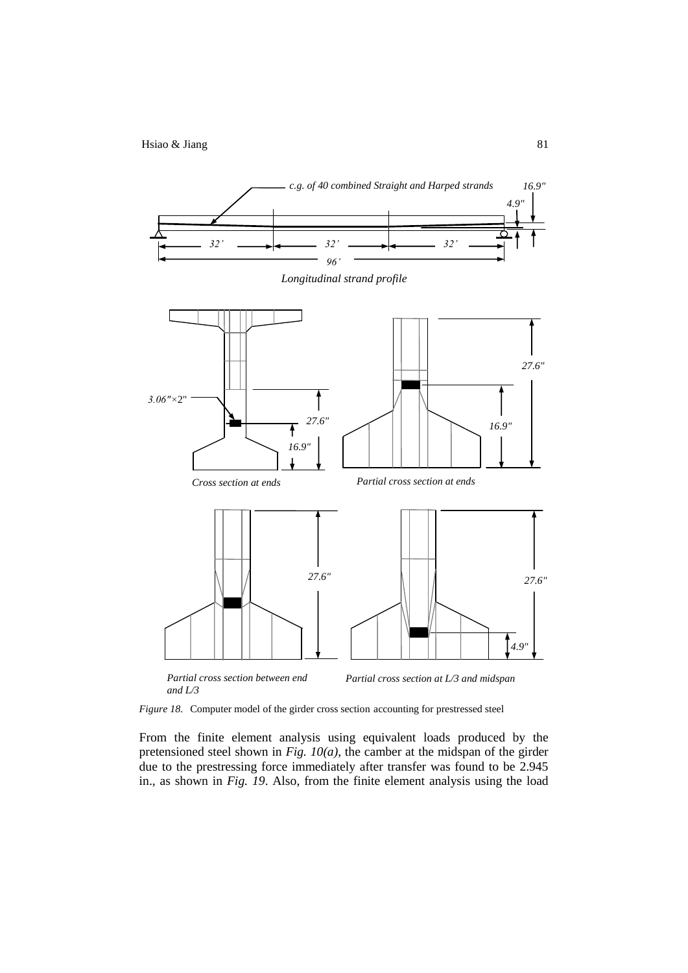

*Figure 18.* Computer model of the girder cross section accounting for prestressed steel

From the finite element analysis using equivalent loads produced by the pretensioned steel shown in *Fig. 10(a)*, the camber at the midspan of the girder due to the prestressing force immediately after transfer was found to be 2.945 in., as shown in *Fig. 19*. Also, from the finite element analysis using the load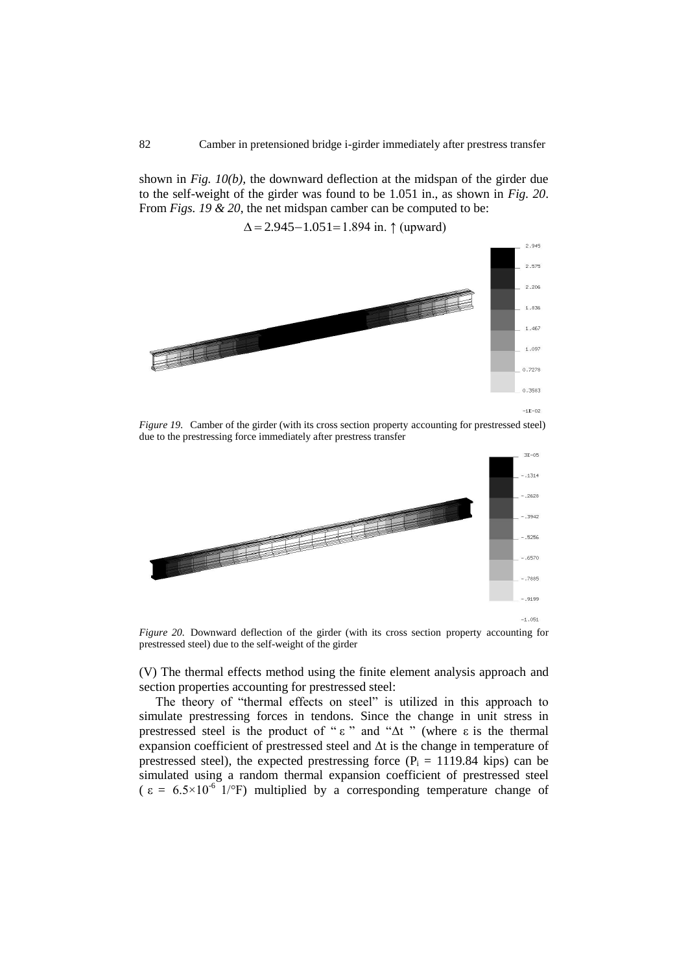shown in *Fig. 10(b),* the downward deflection at the midspan of the girder due to the self-weight of the girder was found to be 1.051 in., as shown in *Fig. 20*. From *Figs. 19 & 20*, the net midspan camber can be computed to be:

## $\Delta = 2.945 - 1.051 = 1.894$  in. ↑ (upward)



*Figure 19.* Camber of the girder (with its cross section property accounting for prestressed steel) due to the prestressing force immediately after prestress transfer



 $-1.051$ 

*Figure 20.* Downward deflection of the girder (with its cross section property accounting for prestressed steel) due to the self-weight of the girder

(V) The thermal effects method using the finite element analysis approach and section properties accounting for prestressed steel:

The theory of "thermal effects on steel" is utilized in this approach to simulate prestressing forces in tendons. Since the change in unit stress in prestressed steel is the product of "ε" and "Δt" (where ε is the thermal expansion coefficient of prestressed steel and  $\Delta t$  is the change in temperature of prestressed steel), the expected prestressing force  $(P_i = 1119.84 \text{ kips})$  can be simulated using a random thermal expansion coefficient of prestressed steel  $\epsilon = 6.5 \times 10^{-6}$  1/°F) multiplied by a corresponding temperature change of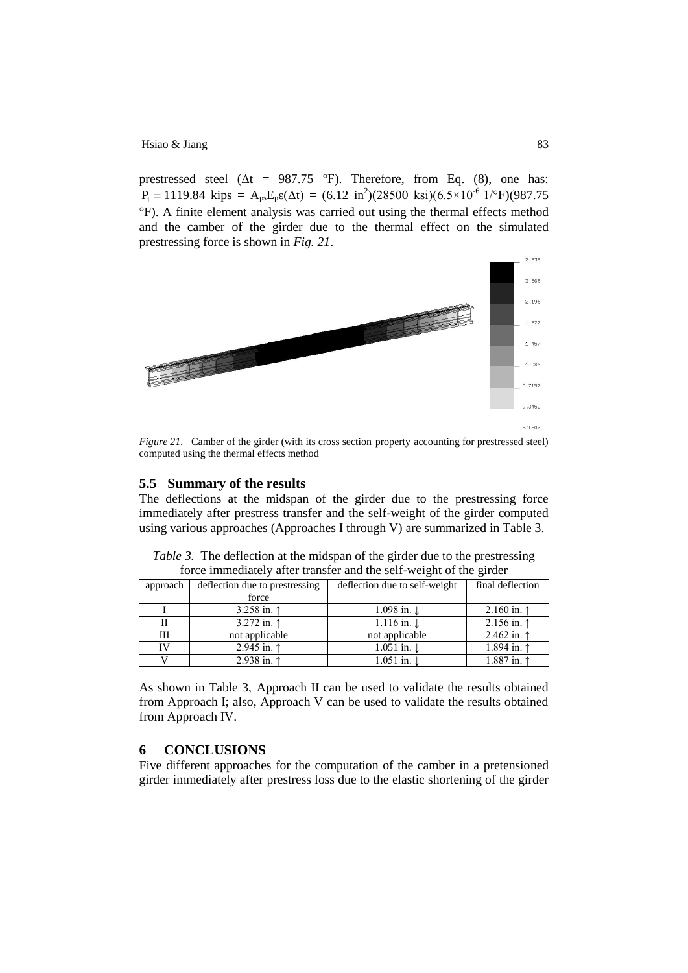prestressed steel ( $\Delta t = 987.75$  °F). Therefore, from Eq. (8), one has:  $P_i = 1119.84 \text{ kips} = A_{ps}E_p\epsilon(\Delta t) = (6.12 \text{ in}^2)(28500 \text{ ksi})(6.5 \times 10^{-6} \text{ 1} / ^{\circ} \text{F})(987.75$ °F). A finite element analysis was carried out using the thermal effects method and the camber of the girder due to the thermal effect on the simulated prestressing force is shown in *Fig. 21*.



*Figure 21.* Camber of the girder (with its cross section property accounting for prestressed steel) computed using the thermal effects method

#### **5.5 Summary of the results**

The deflections at the midspan of the girder due to the prestressing force immediately after prestress transfer and the self-weight of the girder computed using various approaches (Approaches I through V) are summarized in Table 3.

| approach | deflection due to prestressing | deflection due to self-weight | final deflection     |
|----------|--------------------------------|-------------------------------|----------------------|
|          | force                          |                               |                      |
|          | 3.258 in. $\uparrow$           | 1.098 in. $\downarrow$        | 2.160 in. $\uparrow$ |
|          | 3.272 in. $\uparrow$           | $1.116$ in. $\downarrow$      | 2.156 in. $\uparrow$ |
| Ш        | not applicable                 | not applicable                | 2.462 in. $\uparrow$ |
| IV       | 2.945 in. $\uparrow$           | $1.051$ in. $\downarrow$      | 1.894 in. 1          |
|          | 2.938 in. $\uparrow$           | $1.051$ in. $\downarrow$      | 1.887 in. 1          |

*Table 3.* The deflection at the midspan of the girder due to the prestressing force immediately after transfer and the self-weight of the girder

As shown in Table 3, Approach II can be used to validate the results obtained from Approach I; also, Approach V can be used to validate the results obtained from Approach IV.

## **6 CONCLUSIONS**

Five different approaches for the computation of the camber in a pretensioned girder immediately after prestress loss due to the elastic shortening of the girder